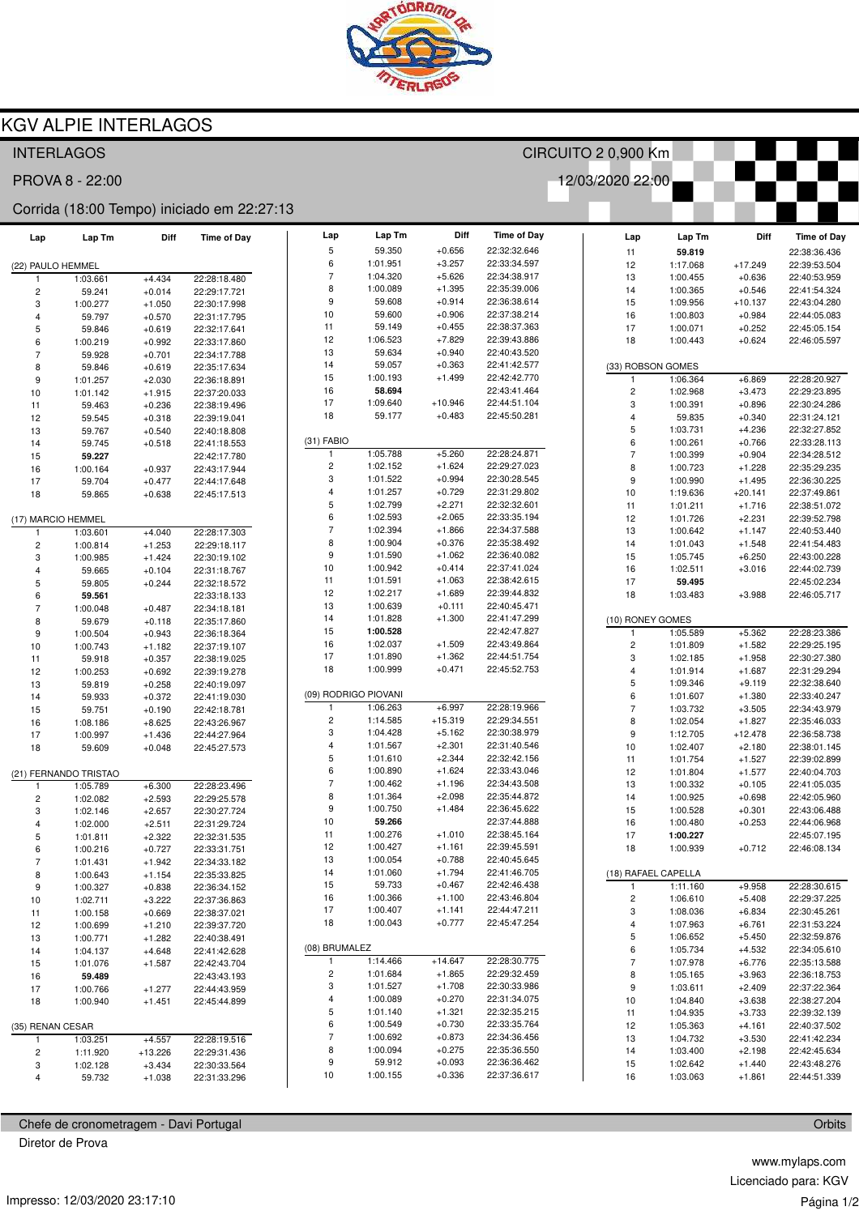

## **KGV ALPIE INTERLAGOS**

| 12/03/2020 22:00<br>PROVA 8 - 22:00<br>Corrida (18:00 Tempo) iniciado em 22:27:13<br>Diff<br><b>Time of Day</b><br>Lap<br>Lap Tm<br>Lap Tm<br>Lap<br><b>Time of Day</b><br>Lap Tm<br>Diff<br>Lap<br>5<br>59.350<br>$+0.656$<br>22:32:32.646<br>11<br>59.819<br>$+3.257$<br>6<br>1:01.951<br>22:33:34.597<br>12<br>1:17.068<br>$+17.249$<br>(22) PAULO HEMMEL<br>$\overline{7}$<br>1:04.320<br>$+5.626$<br>22:34:38.917<br>13<br>1:00.455<br>$+0.636$<br>1:03.661<br>$+4.434$<br>22:28:18.480<br>$\overline{1}$<br>8<br>$+1.395$<br>1:00.089<br>22:35:39.006<br>14<br>1:00.365<br>$+0.546$<br>2<br>59.241<br>$+0.014$<br>22:29:17.721<br>9<br>$+0.914$<br>59.608<br>22:36:38.614<br>15<br>1:09.956<br>$+10.137$<br>3<br>1:00.277<br>$+1.050$<br>22:30:17.998<br>10<br>59.600<br>$+0.906$<br>22:37:38.214<br>16<br>1:00.803<br>$+0.984$<br>59.797<br>$+0.570$<br>22:31:17.795<br>4<br>11<br>59.149<br>$+0.455$<br>22:38:37.363<br>17<br>1:00.071<br>$+0.252$<br>5<br>59.846<br>$+0.619$<br>22:32:17.641<br>$+7.829$<br>12<br>1:06.523<br>22:39:43.886<br>18<br>1:00.443<br>$+0.624$<br>6<br>1:00.219<br>$+0.992$<br>22:33:17.860<br>13<br>59.634<br>$+0.940$<br>22:40:43.520<br>$\overline{7}$<br>$+0.701$<br>59.928<br>22:34:17.788<br>$+0.363$<br>14<br>59.057<br>22:41:42.577<br>(33) ROBSON GOMES<br>8<br>$+0.619$<br>59.846<br>22:35:17.634<br>15<br>1:00.193<br>$+1.499$<br>22:42:42.770<br>1:06.364<br>$+6.869$<br>$+2.030$<br>1<br>9<br>1:01.257<br>22:36:18.891<br>16<br>58.694<br>22:43:41.464<br>$\overline{2}$<br>1:02.968<br>$+3.473$<br>10<br>1:01.142<br>$+1.915$<br>22:37:20.033<br>17<br>1:09.640<br>$+10.946$<br>22:44:51.104<br>3<br>1:00.391<br>$+0.896$<br>$+0.236$<br>11<br>59.463<br>22:38:19.496<br>$+0.483$<br>18<br>59.177<br>22:45:50.281<br>59.835<br>$+0.340$<br>12<br>59.545<br>$+0.318$<br>22:39:19.041<br>4<br>5<br>1:03.731<br>$+4.236$<br>$+0.540$<br>13<br>59.767<br>22:40:18.808<br>$(31)$ FABIO<br>6<br>1:00.261<br>$+0.766$<br>14<br>59.745<br>$+0.518$<br>22:41:18.553<br>1:05.788<br>$+5.260$<br>22:28:24.871<br>$\overline{7}$<br>-1<br>1:00.399<br>$+0.904$<br>15<br>59.227<br>22:42:17.780<br>$\overline{c}$<br>1:02.152<br>$+1.624$<br>22:29:27.023<br>8<br>1:00.723<br>$+1.228$<br>16<br>1:00.164<br>$+0.937$<br>22:43:17.944<br>3<br>$+0.994$<br>1:01.522<br>22:30:28.545<br>9<br>1:00.990<br>$+1.495$<br>17<br>59.704<br>$+0.477$<br>22:44:17.648<br>$+0.729$<br>$\overline{4}$<br>1:01.257<br>22:31:29.802<br>10<br>1:19.636<br>$+20.141$<br>18<br>59.865<br>$+0.638$<br>22:45:17.513<br>$\overline{5}$<br>$+2.271$<br>1:02.799<br>22:32:32.601<br>11<br>1:01.211<br>$+1.716$<br>6<br>1:02.593<br>$+2.065$<br>22:33:35.194<br>12<br>1:01.726<br>$+2.231$<br>(17) MARCIO HEMMEL<br>$\overline{7}$<br>1:02.394<br>$+1.866$<br>22:34:37.588<br>13<br>1:00.642<br>$+1.147$<br>$+4.040$<br>22:28:17.303<br>1:03.601<br>-1<br>8<br>1:00.904<br>$+0.376$<br>22:35:38.492<br>14<br>1:01.043<br>$+1.548$<br>$\overline{\mathbf{c}}$<br>$+1.253$<br>22:29:18.117<br>1:00.814<br>9<br>$+1.062$<br>1:01.590<br>22:36:40.082<br>15<br>1:05.745<br>$+6.250$<br>3<br>1:00.985<br>$+1.424$<br>22:30:19.102<br>10<br>1:00.942<br>$+0.414$<br>22:37:41.024<br>16<br>1:02.511<br>$+3.016$<br>$+0.104$<br>59.665<br>22:31:18.767<br>4<br>11<br>$+1.063$<br>22:38:42.615<br>1:01.591<br>17<br>59.495<br>5 |                              |
|------------------------------------------------------------------------------------------------------------------------------------------------------------------------------------------------------------------------------------------------------------------------------------------------------------------------------------------------------------------------------------------------------------------------------------------------------------------------------------------------------------------------------------------------------------------------------------------------------------------------------------------------------------------------------------------------------------------------------------------------------------------------------------------------------------------------------------------------------------------------------------------------------------------------------------------------------------------------------------------------------------------------------------------------------------------------------------------------------------------------------------------------------------------------------------------------------------------------------------------------------------------------------------------------------------------------------------------------------------------------------------------------------------------------------------------------------------------------------------------------------------------------------------------------------------------------------------------------------------------------------------------------------------------------------------------------------------------------------------------------------------------------------------------------------------------------------------------------------------------------------------------------------------------------------------------------------------------------------------------------------------------------------------------------------------------------------------------------------------------------------------------------------------------------------------------------------------------------------------------------------------------------------------------------------------------------------------------------------------------------------------------------------------------------------------------------------------------------------------------------------------------------------------------------------------------------------------------------------------------------------------------------------------------------------------------------------------------------------------------------------------------------------------------------------------------------------------------------------------------------------------------------------------------------------------------------------------------------------------------------------------------------------------------------------------------------------------------------------------------------------------------------------------------------------------------------------------------------------------------------------------------------------------------------------------------------------------|------------------------------|
|                                                                                                                                                                                                                                                                                                                                                                                                                                                                                                                                                                                                                                                                                                                                                                                                                                                                                                                                                                                                                                                                                                                                                                                                                                                                                                                                                                                                                                                                                                                                                                                                                                                                                                                                                                                                                                                                                                                                                                                                                                                                                                                                                                                                                                                                                                                                                                                                                                                                                                                                                                                                                                                                                                                                                                                                                                                                                                                                                                                                                                                                                                                                                                                                                                                                                                                                    |                              |
|                                                                                                                                                                                                                                                                                                                                                                                                                                                                                                                                                                                                                                                                                                                                                                                                                                                                                                                                                                                                                                                                                                                                                                                                                                                                                                                                                                                                                                                                                                                                                                                                                                                                                                                                                                                                                                                                                                                                                                                                                                                                                                                                                                                                                                                                                                                                                                                                                                                                                                                                                                                                                                                                                                                                                                                                                                                                                                                                                                                                                                                                                                                                                                                                                                                                                                                                    |                              |
|                                                                                                                                                                                                                                                                                                                                                                                                                                                                                                                                                                                                                                                                                                                                                                                                                                                                                                                                                                                                                                                                                                                                                                                                                                                                                                                                                                                                                                                                                                                                                                                                                                                                                                                                                                                                                                                                                                                                                                                                                                                                                                                                                                                                                                                                                                                                                                                                                                                                                                                                                                                                                                                                                                                                                                                                                                                                                                                                                                                                                                                                                                                                                                                                                                                                                                                                    | Diff<br><b>Time of Day</b>   |
|                                                                                                                                                                                                                                                                                                                                                                                                                                                                                                                                                                                                                                                                                                                                                                                                                                                                                                                                                                                                                                                                                                                                                                                                                                                                                                                                                                                                                                                                                                                                                                                                                                                                                                                                                                                                                                                                                                                                                                                                                                                                                                                                                                                                                                                                                                                                                                                                                                                                                                                                                                                                                                                                                                                                                                                                                                                                                                                                                                                                                                                                                                                                                                                                                                                                                                                                    | 22:38:36.436                 |
|                                                                                                                                                                                                                                                                                                                                                                                                                                                                                                                                                                                                                                                                                                                                                                                                                                                                                                                                                                                                                                                                                                                                                                                                                                                                                                                                                                                                                                                                                                                                                                                                                                                                                                                                                                                                                                                                                                                                                                                                                                                                                                                                                                                                                                                                                                                                                                                                                                                                                                                                                                                                                                                                                                                                                                                                                                                                                                                                                                                                                                                                                                                                                                                                                                                                                                                                    | 22:39:53.504<br>22:40:53.959 |
|                                                                                                                                                                                                                                                                                                                                                                                                                                                                                                                                                                                                                                                                                                                                                                                                                                                                                                                                                                                                                                                                                                                                                                                                                                                                                                                                                                                                                                                                                                                                                                                                                                                                                                                                                                                                                                                                                                                                                                                                                                                                                                                                                                                                                                                                                                                                                                                                                                                                                                                                                                                                                                                                                                                                                                                                                                                                                                                                                                                                                                                                                                                                                                                                                                                                                                                                    | 22:41:54.324                 |
|                                                                                                                                                                                                                                                                                                                                                                                                                                                                                                                                                                                                                                                                                                                                                                                                                                                                                                                                                                                                                                                                                                                                                                                                                                                                                                                                                                                                                                                                                                                                                                                                                                                                                                                                                                                                                                                                                                                                                                                                                                                                                                                                                                                                                                                                                                                                                                                                                                                                                                                                                                                                                                                                                                                                                                                                                                                                                                                                                                                                                                                                                                                                                                                                                                                                                                                                    | 22:43:04.280                 |
|                                                                                                                                                                                                                                                                                                                                                                                                                                                                                                                                                                                                                                                                                                                                                                                                                                                                                                                                                                                                                                                                                                                                                                                                                                                                                                                                                                                                                                                                                                                                                                                                                                                                                                                                                                                                                                                                                                                                                                                                                                                                                                                                                                                                                                                                                                                                                                                                                                                                                                                                                                                                                                                                                                                                                                                                                                                                                                                                                                                                                                                                                                                                                                                                                                                                                                                                    | 22:44:05.083                 |
|                                                                                                                                                                                                                                                                                                                                                                                                                                                                                                                                                                                                                                                                                                                                                                                                                                                                                                                                                                                                                                                                                                                                                                                                                                                                                                                                                                                                                                                                                                                                                                                                                                                                                                                                                                                                                                                                                                                                                                                                                                                                                                                                                                                                                                                                                                                                                                                                                                                                                                                                                                                                                                                                                                                                                                                                                                                                                                                                                                                                                                                                                                                                                                                                                                                                                                                                    | 22:45:05.154                 |
|                                                                                                                                                                                                                                                                                                                                                                                                                                                                                                                                                                                                                                                                                                                                                                                                                                                                                                                                                                                                                                                                                                                                                                                                                                                                                                                                                                                                                                                                                                                                                                                                                                                                                                                                                                                                                                                                                                                                                                                                                                                                                                                                                                                                                                                                                                                                                                                                                                                                                                                                                                                                                                                                                                                                                                                                                                                                                                                                                                                                                                                                                                                                                                                                                                                                                                                                    | 22:46:05.597                 |
|                                                                                                                                                                                                                                                                                                                                                                                                                                                                                                                                                                                                                                                                                                                                                                                                                                                                                                                                                                                                                                                                                                                                                                                                                                                                                                                                                                                                                                                                                                                                                                                                                                                                                                                                                                                                                                                                                                                                                                                                                                                                                                                                                                                                                                                                                                                                                                                                                                                                                                                                                                                                                                                                                                                                                                                                                                                                                                                                                                                                                                                                                                                                                                                                                                                                                                                                    |                              |
|                                                                                                                                                                                                                                                                                                                                                                                                                                                                                                                                                                                                                                                                                                                                                                                                                                                                                                                                                                                                                                                                                                                                                                                                                                                                                                                                                                                                                                                                                                                                                                                                                                                                                                                                                                                                                                                                                                                                                                                                                                                                                                                                                                                                                                                                                                                                                                                                                                                                                                                                                                                                                                                                                                                                                                                                                                                                                                                                                                                                                                                                                                                                                                                                                                                                                                                                    |                              |
|                                                                                                                                                                                                                                                                                                                                                                                                                                                                                                                                                                                                                                                                                                                                                                                                                                                                                                                                                                                                                                                                                                                                                                                                                                                                                                                                                                                                                                                                                                                                                                                                                                                                                                                                                                                                                                                                                                                                                                                                                                                                                                                                                                                                                                                                                                                                                                                                                                                                                                                                                                                                                                                                                                                                                                                                                                                                                                                                                                                                                                                                                                                                                                                                                                                                                                                                    | 22:28:20.927                 |
|                                                                                                                                                                                                                                                                                                                                                                                                                                                                                                                                                                                                                                                                                                                                                                                                                                                                                                                                                                                                                                                                                                                                                                                                                                                                                                                                                                                                                                                                                                                                                                                                                                                                                                                                                                                                                                                                                                                                                                                                                                                                                                                                                                                                                                                                                                                                                                                                                                                                                                                                                                                                                                                                                                                                                                                                                                                                                                                                                                                                                                                                                                                                                                                                                                                                                                                                    | 22:29:23.895                 |
|                                                                                                                                                                                                                                                                                                                                                                                                                                                                                                                                                                                                                                                                                                                                                                                                                                                                                                                                                                                                                                                                                                                                                                                                                                                                                                                                                                                                                                                                                                                                                                                                                                                                                                                                                                                                                                                                                                                                                                                                                                                                                                                                                                                                                                                                                                                                                                                                                                                                                                                                                                                                                                                                                                                                                                                                                                                                                                                                                                                                                                                                                                                                                                                                                                                                                                                                    | 22:30:24.286                 |
|                                                                                                                                                                                                                                                                                                                                                                                                                                                                                                                                                                                                                                                                                                                                                                                                                                                                                                                                                                                                                                                                                                                                                                                                                                                                                                                                                                                                                                                                                                                                                                                                                                                                                                                                                                                                                                                                                                                                                                                                                                                                                                                                                                                                                                                                                                                                                                                                                                                                                                                                                                                                                                                                                                                                                                                                                                                                                                                                                                                                                                                                                                                                                                                                                                                                                                                                    | 22:31:24.121                 |
|                                                                                                                                                                                                                                                                                                                                                                                                                                                                                                                                                                                                                                                                                                                                                                                                                                                                                                                                                                                                                                                                                                                                                                                                                                                                                                                                                                                                                                                                                                                                                                                                                                                                                                                                                                                                                                                                                                                                                                                                                                                                                                                                                                                                                                                                                                                                                                                                                                                                                                                                                                                                                                                                                                                                                                                                                                                                                                                                                                                                                                                                                                                                                                                                                                                                                                                                    | 22:32:27.852                 |
|                                                                                                                                                                                                                                                                                                                                                                                                                                                                                                                                                                                                                                                                                                                                                                                                                                                                                                                                                                                                                                                                                                                                                                                                                                                                                                                                                                                                                                                                                                                                                                                                                                                                                                                                                                                                                                                                                                                                                                                                                                                                                                                                                                                                                                                                                                                                                                                                                                                                                                                                                                                                                                                                                                                                                                                                                                                                                                                                                                                                                                                                                                                                                                                                                                                                                                                                    | 22:33:28.113                 |
|                                                                                                                                                                                                                                                                                                                                                                                                                                                                                                                                                                                                                                                                                                                                                                                                                                                                                                                                                                                                                                                                                                                                                                                                                                                                                                                                                                                                                                                                                                                                                                                                                                                                                                                                                                                                                                                                                                                                                                                                                                                                                                                                                                                                                                                                                                                                                                                                                                                                                                                                                                                                                                                                                                                                                                                                                                                                                                                                                                                                                                                                                                                                                                                                                                                                                                                                    | 22:34:28.512                 |
|                                                                                                                                                                                                                                                                                                                                                                                                                                                                                                                                                                                                                                                                                                                                                                                                                                                                                                                                                                                                                                                                                                                                                                                                                                                                                                                                                                                                                                                                                                                                                                                                                                                                                                                                                                                                                                                                                                                                                                                                                                                                                                                                                                                                                                                                                                                                                                                                                                                                                                                                                                                                                                                                                                                                                                                                                                                                                                                                                                                                                                                                                                                                                                                                                                                                                                                                    | 22:35:29.235<br>22:36:30.225 |
|                                                                                                                                                                                                                                                                                                                                                                                                                                                                                                                                                                                                                                                                                                                                                                                                                                                                                                                                                                                                                                                                                                                                                                                                                                                                                                                                                                                                                                                                                                                                                                                                                                                                                                                                                                                                                                                                                                                                                                                                                                                                                                                                                                                                                                                                                                                                                                                                                                                                                                                                                                                                                                                                                                                                                                                                                                                                                                                                                                                                                                                                                                                                                                                                                                                                                                                                    | 22:37:49.861                 |
|                                                                                                                                                                                                                                                                                                                                                                                                                                                                                                                                                                                                                                                                                                                                                                                                                                                                                                                                                                                                                                                                                                                                                                                                                                                                                                                                                                                                                                                                                                                                                                                                                                                                                                                                                                                                                                                                                                                                                                                                                                                                                                                                                                                                                                                                                                                                                                                                                                                                                                                                                                                                                                                                                                                                                                                                                                                                                                                                                                                                                                                                                                                                                                                                                                                                                                                                    | 22:38:51.072                 |
|                                                                                                                                                                                                                                                                                                                                                                                                                                                                                                                                                                                                                                                                                                                                                                                                                                                                                                                                                                                                                                                                                                                                                                                                                                                                                                                                                                                                                                                                                                                                                                                                                                                                                                                                                                                                                                                                                                                                                                                                                                                                                                                                                                                                                                                                                                                                                                                                                                                                                                                                                                                                                                                                                                                                                                                                                                                                                                                                                                                                                                                                                                                                                                                                                                                                                                                                    | 22:39:52.798                 |
|                                                                                                                                                                                                                                                                                                                                                                                                                                                                                                                                                                                                                                                                                                                                                                                                                                                                                                                                                                                                                                                                                                                                                                                                                                                                                                                                                                                                                                                                                                                                                                                                                                                                                                                                                                                                                                                                                                                                                                                                                                                                                                                                                                                                                                                                                                                                                                                                                                                                                                                                                                                                                                                                                                                                                                                                                                                                                                                                                                                                                                                                                                                                                                                                                                                                                                                                    | 22:40:53.440                 |
|                                                                                                                                                                                                                                                                                                                                                                                                                                                                                                                                                                                                                                                                                                                                                                                                                                                                                                                                                                                                                                                                                                                                                                                                                                                                                                                                                                                                                                                                                                                                                                                                                                                                                                                                                                                                                                                                                                                                                                                                                                                                                                                                                                                                                                                                                                                                                                                                                                                                                                                                                                                                                                                                                                                                                                                                                                                                                                                                                                                                                                                                                                                                                                                                                                                                                                                                    | 22:41:54.483                 |
|                                                                                                                                                                                                                                                                                                                                                                                                                                                                                                                                                                                                                                                                                                                                                                                                                                                                                                                                                                                                                                                                                                                                                                                                                                                                                                                                                                                                                                                                                                                                                                                                                                                                                                                                                                                                                                                                                                                                                                                                                                                                                                                                                                                                                                                                                                                                                                                                                                                                                                                                                                                                                                                                                                                                                                                                                                                                                                                                                                                                                                                                                                                                                                                                                                                                                                                                    | 22:43:00.228                 |
|                                                                                                                                                                                                                                                                                                                                                                                                                                                                                                                                                                                                                                                                                                                                                                                                                                                                                                                                                                                                                                                                                                                                                                                                                                                                                                                                                                                                                                                                                                                                                                                                                                                                                                                                                                                                                                                                                                                                                                                                                                                                                                                                                                                                                                                                                                                                                                                                                                                                                                                                                                                                                                                                                                                                                                                                                                                                                                                                                                                                                                                                                                                                                                                                                                                                                                                                    | 22:44:02.739                 |
| 59.805<br>$+0.244$<br>22:32:18.572                                                                                                                                                                                                                                                                                                                                                                                                                                                                                                                                                                                                                                                                                                                                                                                                                                                                                                                                                                                                                                                                                                                                                                                                                                                                                                                                                                                                                                                                                                                                                                                                                                                                                                                                                                                                                                                                                                                                                                                                                                                                                                                                                                                                                                                                                                                                                                                                                                                                                                                                                                                                                                                                                                                                                                                                                                                                                                                                                                                                                                                                                                                                                                                                                                                                                                 | 22:45:02.234                 |
| 12<br>1:02.217<br>$+1.689$<br>22:39:44.832<br>18<br>1:03.483<br>$+3.988$<br>6<br>59.561<br>22:33:18.133                                                                                                                                                                                                                                                                                                                                                                                                                                                                                                                                                                                                                                                                                                                                                                                                                                                                                                                                                                                                                                                                                                                                                                                                                                                                                                                                                                                                                                                                                                                                                                                                                                                                                                                                                                                                                                                                                                                                                                                                                                                                                                                                                                                                                                                                                                                                                                                                                                                                                                                                                                                                                                                                                                                                                                                                                                                                                                                                                                                                                                                                                                                                                                                                                            | 22:46:05.717                 |
| 13<br>1:00.639<br>$+0.111$<br>22:40:45.471<br>$\overline{7}$<br>1:00.048<br>$+0.487$<br>22:34:18.181                                                                                                                                                                                                                                                                                                                                                                                                                                                                                                                                                                                                                                                                                                                                                                                                                                                                                                                                                                                                                                                                                                                                                                                                                                                                                                                                                                                                                                                                                                                                                                                                                                                                                                                                                                                                                                                                                                                                                                                                                                                                                                                                                                                                                                                                                                                                                                                                                                                                                                                                                                                                                                                                                                                                                                                                                                                                                                                                                                                                                                                                                                                                                                                                                               |                              |
| $+1.300$<br>14<br>1:01.828<br>22:41:47.299<br>(10) RONEY GOMES<br>8<br>59.679<br>$+0.118$<br>22:35:17.860                                                                                                                                                                                                                                                                                                                                                                                                                                                                                                                                                                                                                                                                                                                                                                                                                                                                                                                                                                                                                                                                                                                                                                                                                                                                                                                                                                                                                                                                                                                                                                                                                                                                                                                                                                                                                                                                                                                                                                                                                                                                                                                                                                                                                                                                                                                                                                                                                                                                                                                                                                                                                                                                                                                                                                                                                                                                                                                                                                                                                                                                                                                                                                                                                          |                              |
| 15<br>1:00.528<br>22:42:47.827<br>1:05.589<br>$+5.362$<br>9<br>$\mathbf{1}$<br>1:00.504<br>$+0.943$<br>22:36:18.364                                                                                                                                                                                                                                                                                                                                                                                                                                                                                                                                                                                                                                                                                                                                                                                                                                                                                                                                                                                                                                                                                                                                                                                                                                                                                                                                                                                                                                                                                                                                                                                                                                                                                                                                                                                                                                                                                                                                                                                                                                                                                                                                                                                                                                                                                                                                                                                                                                                                                                                                                                                                                                                                                                                                                                                                                                                                                                                                                                                                                                                                                                                                                                                                                | 22:28:23.386                 |
| 16<br>1:02.037<br>$+1.509$<br>22:43:49.864<br>2<br>1:01.809<br>$+1.582$<br>10<br>1:00.743<br>$+1.182$<br>22:37:19.107<br>$+1.362$<br>17<br>1:01.890<br>22:44:51.754                                                                                                                                                                                                                                                                                                                                                                                                                                                                                                                                                                                                                                                                                                                                                                                                                                                                                                                                                                                                                                                                                                                                                                                                                                                                                                                                                                                                                                                                                                                                                                                                                                                                                                                                                                                                                                                                                                                                                                                                                                                                                                                                                                                                                                                                                                                                                                                                                                                                                                                                                                                                                                                                                                                                                                                                                                                                                                                                                                                                                                                                                                                                                                | 22:29:25.195                 |
| 3<br>1:02.185<br>$+1.958$<br>$+0.357$<br>11<br>59.918<br>22:38:19.025<br>18<br>1:00.999<br>$+0.471$<br>22:45:52.753<br>1:01.914<br>4                                                                                                                                                                                                                                                                                                                                                                                                                                                                                                                                                                                                                                                                                                                                                                                                                                                                                                                                                                                                                                                                                                                                                                                                                                                                                                                                                                                                                                                                                                                                                                                                                                                                                                                                                                                                                                                                                                                                                                                                                                                                                                                                                                                                                                                                                                                                                                                                                                                                                                                                                                                                                                                                                                                                                                                                                                                                                                                                                                                                                                                                                                                                                                                               | 22:30:27.380                 |
| $+1.687$<br>12<br>1:00.253<br>$+0.692$<br>22:39:19.278<br>5<br>1:09.346<br>$+9.119$                                                                                                                                                                                                                                                                                                                                                                                                                                                                                                                                                                                                                                                                                                                                                                                                                                                                                                                                                                                                                                                                                                                                                                                                                                                                                                                                                                                                                                                                                                                                                                                                                                                                                                                                                                                                                                                                                                                                                                                                                                                                                                                                                                                                                                                                                                                                                                                                                                                                                                                                                                                                                                                                                                                                                                                                                                                                                                                                                                                                                                                                                                                                                                                                                                                | 22:31:29.294<br>22:32:38.640 |
| $+0.258$<br>13<br>59.819<br>22:40:19.097<br>(09) RODRIGO PIOVANI<br>6<br>1:01.607<br>$+1.380$<br>14<br>59.933<br>$+0.372$<br>22:41:19.030                                                                                                                                                                                                                                                                                                                                                                                                                                                                                                                                                                                                                                                                                                                                                                                                                                                                                                                                                                                                                                                                                                                                                                                                                                                                                                                                                                                                                                                                                                                                                                                                                                                                                                                                                                                                                                                                                                                                                                                                                                                                                                                                                                                                                                                                                                                                                                                                                                                                                                                                                                                                                                                                                                                                                                                                                                                                                                                                                                                                                                                                                                                                                                                          | 22:33:40.247                 |
| $+6.997$<br>22:28:19.966<br>1:06.263<br>$\overline{7}$<br>1:03.732<br>$+3.505$<br>15<br>59.751<br>$+0.190$<br>22:42:18.781                                                                                                                                                                                                                                                                                                                                                                                                                                                                                                                                                                                                                                                                                                                                                                                                                                                                                                                                                                                                                                                                                                                                                                                                                                                                                                                                                                                                                                                                                                                                                                                                                                                                                                                                                                                                                                                                                                                                                                                                                                                                                                                                                                                                                                                                                                                                                                                                                                                                                                                                                                                                                                                                                                                                                                                                                                                                                                                                                                                                                                                                                                                                                                                                         | 22:34:43.979                 |
| $\overline{c}$<br>1:14.585<br>$+15.319$<br>22:29:34.551<br>8<br>1:02.054<br>$+1.827$<br>$+8.625$<br>16<br>1:08.186<br>22:43:26.967                                                                                                                                                                                                                                                                                                                                                                                                                                                                                                                                                                                                                                                                                                                                                                                                                                                                                                                                                                                                                                                                                                                                                                                                                                                                                                                                                                                                                                                                                                                                                                                                                                                                                                                                                                                                                                                                                                                                                                                                                                                                                                                                                                                                                                                                                                                                                                                                                                                                                                                                                                                                                                                                                                                                                                                                                                                                                                                                                                                                                                                                                                                                                                                                 | 22:35:46.033                 |
| 3<br>1:04.428<br>$+5.162$<br>22:30:38.979<br>9<br>1:12.705<br>$+12.478$<br>17<br>1:00.997<br>$+1.436$<br>22:44:27.964                                                                                                                                                                                                                                                                                                                                                                                                                                                                                                                                                                                                                                                                                                                                                                                                                                                                                                                                                                                                                                                                                                                                                                                                                                                                                                                                                                                                                                                                                                                                                                                                                                                                                                                                                                                                                                                                                                                                                                                                                                                                                                                                                                                                                                                                                                                                                                                                                                                                                                                                                                                                                                                                                                                                                                                                                                                                                                                                                                                                                                                                                                                                                                                                              | 22:36:58.738                 |
| $\overline{4}$<br>1:01.567<br>$+2.301$<br>22:31:40.546<br>10<br>1:02.407<br>$+2.180$<br>18<br>59.609<br>$+0.048$<br>22:45:27.573                                                                                                                                                                                                                                                                                                                                                                                                                                                                                                                                                                                                                                                                                                                                                                                                                                                                                                                                                                                                                                                                                                                                                                                                                                                                                                                                                                                                                                                                                                                                                                                                                                                                                                                                                                                                                                                                                                                                                                                                                                                                                                                                                                                                                                                                                                                                                                                                                                                                                                                                                                                                                                                                                                                                                                                                                                                                                                                                                                                                                                                                                                                                                                                                   | 22:38:01.145                 |
| 5<br>$+2.344$<br>22:32:42.156<br>1:01.610<br>11<br>1:01.754<br>$+1.527$                                                                                                                                                                                                                                                                                                                                                                                                                                                                                                                                                                                                                                                                                                                                                                                                                                                                                                                                                                                                                                                                                                                                                                                                                                                                                                                                                                                                                                                                                                                                                                                                                                                                                                                                                                                                                                                                                                                                                                                                                                                                                                                                                                                                                                                                                                                                                                                                                                                                                                                                                                                                                                                                                                                                                                                                                                                                                                                                                                                                                                                                                                                                                                                                                                                            | 22:39:02.899                 |
| 6<br>$+1.624$<br>1:00.890<br>22:33:43.046<br>12<br>1:01.804<br>$+1.577$<br>(21) FERNANDO TRISTAO                                                                                                                                                                                                                                                                                                                                                                                                                                                                                                                                                                                                                                                                                                                                                                                                                                                                                                                                                                                                                                                                                                                                                                                                                                                                                                                                                                                                                                                                                                                                                                                                                                                                                                                                                                                                                                                                                                                                                                                                                                                                                                                                                                                                                                                                                                                                                                                                                                                                                                                                                                                                                                                                                                                                                                                                                                                                                                                                                                                                                                                                                                                                                                                                                                   | 22:40:04.703                 |
| $\overline{7}$<br>1:00.462<br>$+1.196$<br>22:34:43.508<br>13<br>1:00.332<br>$+0.105$<br>1:05.789<br>$+6.300$<br>22:28:23.496                                                                                                                                                                                                                                                                                                                                                                                                                                                                                                                                                                                                                                                                                                                                                                                                                                                                                                                                                                                                                                                                                                                                                                                                                                                                                                                                                                                                                                                                                                                                                                                                                                                                                                                                                                                                                                                                                                                                                                                                                                                                                                                                                                                                                                                                                                                                                                                                                                                                                                                                                                                                                                                                                                                                                                                                                                                                                                                                                                                                                                                                                                                                                                                                       | 22:41:05.035                 |
| 8<br>$+2.098$<br>1:01.364<br>22:35:44.872<br>14<br>1:00.925<br>$+0.698$<br>$\overline{c}$<br>1:02.082<br>$+2.593$<br>22:29:25.578                                                                                                                                                                                                                                                                                                                                                                                                                                                                                                                                                                                                                                                                                                                                                                                                                                                                                                                                                                                                                                                                                                                                                                                                                                                                                                                                                                                                                                                                                                                                                                                                                                                                                                                                                                                                                                                                                                                                                                                                                                                                                                                                                                                                                                                                                                                                                                                                                                                                                                                                                                                                                                                                                                                                                                                                                                                                                                                                                                                                                                                                                                                                                                                                  | 22:42:05.960                 |
| 9<br>1:00.750<br>$+1.484$<br>22:36:45.622<br>15<br>1:00.528<br>$+0.301$<br>3<br>$+2.657$<br>1:02.146<br>22:30:27.724                                                                                                                                                                                                                                                                                                                                                                                                                                                                                                                                                                                                                                                                                                                                                                                                                                                                                                                                                                                                                                                                                                                                                                                                                                                                                                                                                                                                                                                                                                                                                                                                                                                                                                                                                                                                                                                                                                                                                                                                                                                                                                                                                                                                                                                                                                                                                                                                                                                                                                                                                                                                                                                                                                                                                                                                                                                                                                                                                                                                                                                                                                                                                                                                               | 22:43:06.488                 |
| 10<br>59.266<br>22:37:44.888<br>16<br>1:00.480<br>$+0.253$<br>4<br>1:02.000<br>$+2.511$<br>22:31:29.724                                                                                                                                                                                                                                                                                                                                                                                                                                                                                                                                                                                                                                                                                                                                                                                                                                                                                                                                                                                                                                                                                                                                                                                                                                                                                                                                                                                                                                                                                                                                                                                                                                                                                                                                                                                                                                                                                                                                                                                                                                                                                                                                                                                                                                                                                                                                                                                                                                                                                                                                                                                                                                                                                                                                                                                                                                                                                                                                                                                                                                                                                                                                                                                                                            | 22:44:06.968                 |
| 11<br>1:00.276<br>$+1.010$<br>22:38:45.164<br>17<br>1:00.227<br>$+2.322$<br>5<br>1:01.811<br>22:32:31.535                                                                                                                                                                                                                                                                                                                                                                                                                                                                                                                                                                                                                                                                                                                                                                                                                                                                                                                                                                                                                                                                                                                                                                                                                                                                                                                                                                                                                                                                                                                                                                                                                                                                                                                                                                                                                                                                                                                                                                                                                                                                                                                                                                                                                                                                                                                                                                                                                                                                                                                                                                                                                                                                                                                                                                                                                                                                                                                                                                                                                                                                                                                                                                                                                          | 22:45:07.195                 |
| 12<br>1:00.427<br>$+1.161$<br>22:39:45.591<br>1:00.939<br>18<br>$+0.712$<br>6<br>1:00.216<br>$+0.727$<br>22:33:31.751<br>$+0.788$<br>13<br>1:00.054<br>22:40:45.645                                                                                                                                                                                                                                                                                                                                                                                                                                                                                                                                                                                                                                                                                                                                                                                                                                                                                                                                                                                                                                                                                                                                                                                                                                                                                                                                                                                                                                                                                                                                                                                                                                                                                                                                                                                                                                                                                                                                                                                                                                                                                                                                                                                                                                                                                                                                                                                                                                                                                                                                                                                                                                                                                                                                                                                                                                                                                                                                                                                                                                                                                                                                                                | 22:46:08.134                 |
| 7<br>1:01.431<br>$+1.942$<br>22:34:33.182<br>14<br>1:01.060<br>$+1.794$<br>22:41:46.705                                                                                                                                                                                                                                                                                                                                                                                                                                                                                                                                                                                                                                                                                                                                                                                                                                                                                                                                                                                                                                                                                                                                                                                                                                                                                                                                                                                                                                                                                                                                                                                                                                                                                                                                                                                                                                                                                                                                                                                                                                                                                                                                                                                                                                                                                                                                                                                                                                                                                                                                                                                                                                                                                                                                                                                                                                                                                                                                                                                                                                                                                                                                                                                                                                            |                              |
| (18) RAFAEL CAPELLA<br>8<br>1:00.643<br>$+1.154$<br>22:35:33.825<br>59.733<br>$+0.467$<br>15<br>22:42:46.438<br>1:11.160<br>$+9.958$<br>1                                                                                                                                                                                                                                                                                                                                                                                                                                                                                                                                                                                                                                                                                                                                                                                                                                                                                                                                                                                                                                                                                                                                                                                                                                                                                                                                                                                                                                                                                                                                                                                                                                                                                                                                                                                                                                                                                                                                                                                                                                                                                                                                                                                                                                                                                                                                                                                                                                                                                                                                                                                                                                                                                                                                                                                                                                                                                                                                                                                                                                                                                                                                                                                          | 22:28:30.615                 |
| 9<br>1:00.327<br>$+0.838$<br>22:36:34.152<br>1:00.366<br>$+1.100$<br>22:43:46.804<br>16<br>$\sqrt{2}$<br>1:06.610<br>$+5.408$<br>$+3.222$<br>10<br>1:02.711<br>22:37:36.863                                                                                                                                                                                                                                                                                                                                                                                                                                                                                                                                                                                                                                                                                                                                                                                                                                                                                                                                                                                                                                                                                                                                                                                                                                                                                                                                                                                                                                                                                                                                                                                                                                                                                                                                                                                                                                                                                                                                                                                                                                                                                                                                                                                                                                                                                                                                                                                                                                                                                                                                                                                                                                                                                                                                                                                                                                                                                                                                                                                                                                                                                                                                                        | 22:29:37.225                 |
| 17<br>1:00.407<br>$+1.141$<br>22:44:47.211<br>3<br>1:08.036<br>$+6.834$<br>$+0.669$<br>11<br>1:00.158<br>22:38:37.021                                                                                                                                                                                                                                                                                                                                                                                                                                                                                                                                                                                                                                                                                                                                                                                                                                                                                                                                                                                                                                                                                                                                                                                                                                                                                                                                                                                                                                                                                                                                                                                                                                                                                                                                                                                                                                                                                                                                                                                                                                                                                                                                                                                                                                                                                                                                                                                                                                                                                                                                                                                                                                                                                                                                                                                                                                                                                                                                                                                                                                                                                                                                                                                                              | 22:30:45.261                 |
| 18<br>1:00.043<br>$+0.777$<br>22:45:47.254<br>4<br>1:07.963<br>$+6.761$<br>12<br>1:00.699<br>$+1.210$<br>22:39:37.720                                                                                                                                                                                                                                                                                                                                                                                                                                                                                                                                                                                                                                                                                                                                                                                                                                                                                                                                                                                                                                                                                                                                                                                                                                                                                                                                                                                                                                                                                                                                                                                                                                                                                                                                                                                                                                                                                                                                                                                                                                                                                                                                                                                                                                                                                                                                                                                                                                                                                                                                                                                                                                                                                                                                                                                                                                                                                                                                                                                                                                                                                                                                                                                                              | 22:31:53.224                 |
| 1:06.652<br>5<br>$+5.450$<br>$+1.282$<br>13<br>1:00.771<br>22:40:38.491                                                                                                                                                                                                                                                                                                                                                                                                                                                                                                                                                                                                                                                                                                                                                                                                                                                                                                                                                                                                                                                                                                                                                                                                                                                                                                                                                                                                                                                                                                                                                                                                                                                                                                                                                                                                                                                                                                                                                                                                                                                                                                                                                                                                                                                                                                                                                                                                                                                                                                                                                                                                                                                                                                                                                                                                                                                                                                                                                                                                                                                                                                                                                                                                                                                            | 22:32:59.876                 |
| (08) BRUMALEZ<br>6<br>1:05.734<br>$+4.532$<br>14<br>1:04.137<br>$+4.648$<br>22:41:42.628                                                                                                                                                                                                                                                                                                                                                                                                                                                                                                                                                                                                                                                                                                                                                                                                                                                                                                                                                                                                                                                                                                                                                                                                                                                                                                                                                                                                                                                                                                                                                                                                                                                                                                                                                                                                                                                                                                                                                                                                                                                                                                                                                                                                                                                                                                                                                                                                                                                                                                                                                                                                                                                                                                                                                                                                                                                                                                                                                                                                                                                                                                                                                                                                                                           | 22:34:05.610                 |
| $+14.647$<br>22:28:30.775<br>1:14.466<br>$\mathbf{1}$<br>$\overline{7}$<br>1:07.978<br>$+6.776$<br>15<br>1:01.076<br>$+1.587$<br>22:42:43.704                                                                                                                                                                                                                                                                                                                                                                                                                                                                                                                                                                                                                                                                                                                                                                                                                                                                                                                                                                                                                                                                                                                                                                                                                                                                                                                                                                                                                                                                                                                                                                                                                                                                                                                                                                                                                                                                                                                                                                                                                                                                                                                                                                                                                                                                                                                                                                                                                                                                                                                                                                                                                                                                                                                                                                                                                                                                                                                                                                                                                                                                                                                                                                                      | 22:35:13.588                 |
| $\overline{\mathbf{c}}$<br>$+1.865$<br>22:29:32.459<br>1:01.684<br>8<br>1:05.165<br>$+3.963$<br>16<br>59.489<br>22:43:43.193                                                                                                                                                                                                                                                                                                                                                                                                                                                                                                                                                                                                                                                                                                                                                                                                                                                                                                                                                                                                                                                                                                                                                                                                                                                                                                                                                                                                                                                                                                                                                                                                                                                                                                                                                                                                                                                                                                                                                                                                                                                                                                                                                                                                                                                                                                                                                                                                                                                                                                                                                                                                                                                                                                                                                                                                                                                                                                                                                                                                                                                                                                                                                                                                       | 22:36:18.753                 |
| 3<br>1:01.527<br>$+1.708$<br>22:30:33.986<br>9<br>1:03.611<br>$+2.409$<br>17<br>1:00.766<br>$+1.277$<br>22:44:43.959                                                                                                                                                                                                                                                                                                                                                                                                                                                                                                                                                                                                                                                                                                                                                                                                                                                                                                                                                                                                                                                                                                                                                                                                                                                                                                                                                                                                                                                                                                                                                                                                                                                                                                                                                                                                                                                                                                                                                                                                                                                                                                                                                                                                                                                                                                                                                                                                                                                                                                                                                                                                                                                                                                                                                                                                                                                                                                                                                                                                                                                                                                                                                                                                               | 22:37:22.364                 |
| 4<br>1:00.089<br>$+0.270$<br>22:31:34.075<br>10<br>1:04.840<br>$+3.638$<br>18<br>1:00.940<br>$+1.451$<br>22:45:44.899                                                                                                                                                                                                                                                                                                                                                                                                                                                                                                                                                                                                                                                                                                                                                                                                                                                                                                                                                                                                                                                                                                                                                                                                                                                                                                                                                                                                                                                                                                                                                                                                                                                                                                                                                                                                                                                                                                                                                                                                                                                                                                                                                                                                                                                                                                                                                                                                                                                                                                                                                                                                                                                                                                                                                                                                                                                                                                                                                                                                                                                                                                                                                                                                              | 22:38:27.204                 |
| 5<br>1:01.140<br>$+1.321$<br>22:32:35.215<br>11<br>1:04.935<br>$+3.733$                                                                                                                                                                                                                                                                                                                                                                                                                                                                                                                                                                                                                                                                                                                                                                                                                                                                                                                                                                                                                                                                                                                                                                                                                                                                                                                                                                                                                                                                                                                                                                                                                                                                                                                                                                                                                                                                                                                                                                                                                                                                                                                                                                                                                                                                                                                                                                                                                                                                                                                                                                                                                                                                                                                                                                                                                                                                                                                                                                                                                                                                                                                                                                                                                                                            | 22:39:32.139                 |
| 6<br>$+0.730$<br>1:00.549<br>22:33:35.764<br>12<br>1:05.363<br>$+4.161$<br>(35) RENAN CESAR                                                                                                                                                                                                                                                                                                                                                                                                                                                                                                                                                                                                                                                                                                                                                                                                                                                                                                                                                                                                                                                                                                                                                                                                                                                                                                                                                                                                                                                                                                                                                                                                                                                                                                                                                                                                                                                                                                                                                                                                                                                                                                                                                                                                                                                                                                                                                                                                                                                                                                                                                                                                                                                                                                                                                                                                                                                                                                                                                                                                                                                                                                                                                                                                                                        | 22:40:37.502                 |
| $\boldsymbol{7}$<br>1:00.692<br>$+0.873$<br>22:34:36.456<br>13<br>1:04.732<br>$+3.530$<br>$+4.557$<br>22:28:19.516<br>1:03.251<br>$\mathbf{1}$                                                                                                                                                                                                                                                                                                                                                                                                                                                                                                                                                                                                                                                                                                                                                                                                                                                                                                                                                                                                                                                                                                                                                                                                                                                                                                                                                                                                                                                                                                                                                                                                                                                                                                                                                                                                                                                                                                                                                                                                                                                                                                                                                                                                                                                                                                                                                                                                                                                                                                                                                                                                                                                                                                                                                                                                                                                                                                                                                                                                                                                                                                                                                                                     | 22:41:42.234                 |
| 8<br>$+0.275$<br>1:00.094<br>22:35:36.550<br>14<br>1:03.400<br>$+2.198$<br>$\overline{c}$<br>1:11.920<br>$+13.226$<br>22:29:31.436<br>9<br>$+0.093$<br>59.912<br>22:36:36.462                                                                                                                                                                                                                                                                                                                                                                                                                                                                                                                                                                                                                                                                                                                                                                                                                                                                                                                                                                                                                                                                                                                                                                                                                                                                                                                                                                                                                                                                                                                                                                                                                                                                                                                                                                                                                                                                                                                                                                                                                                                                                                                                                                                                                                                                                                                                                                                                                                                                                                                                                                                                                                                                                                                                                                                                                                                                                                                                                                                                                                                                                                                                                      | 22:42:45.634                 |
| 15<br>1:02.642<br>$+1.440$<br>3<br>1:02.128<br>$+3.434$<br>22:30:33.564<br>$+0.336$<br>10<br>1:00.155<br>22:37:36.617<br>16<br>1:03.063                                                                                                                                                                                                                                                                                                                                                                                                                                                                                                                                                                                                                                                                                                                                                                                                                                                                                                                                                                                                                                                                                                                                                                                                                                                                                                                                                                                                                                                                                                                                                                                                                                                                                                                                                                                                                                                                                                                                                                                                                                                                                                                                                                                                                                                                                                                                                                                                                                                                                                                                                                                                                                                                                                                                                                                                                                                                                                                                                                                                                                                                                                                                                                                            | 22:43:48.276                 |
| $+1.861$<br>4<br>59.732<br>$+1.038$<br>22:31:33.296                                                                                                                                                                                                                                                                                                                                                                                                                                                                                                                                                                                                                                                                                                                                                                                                                                                                                                                                                                                                                                                                                                                                                                                                                                                                                                                                                                                                                                                                                                                                                                                                                                                                                                                                                                                                                                                                                                                                                                                                                                                                                                                                                                                                                                                                                                                                                                                                                                                                                                                                                                                                                                                                                                                                                                                                                                                                                                                                                                                                                                                                                                                                                                                                                                                                                | 22:44:51.339                 |

Chefe de cronometragem - Davi Portugal

Diretor de Prova

www.mylaps.com Licenciado para: KGV Página 1/2

Orbits